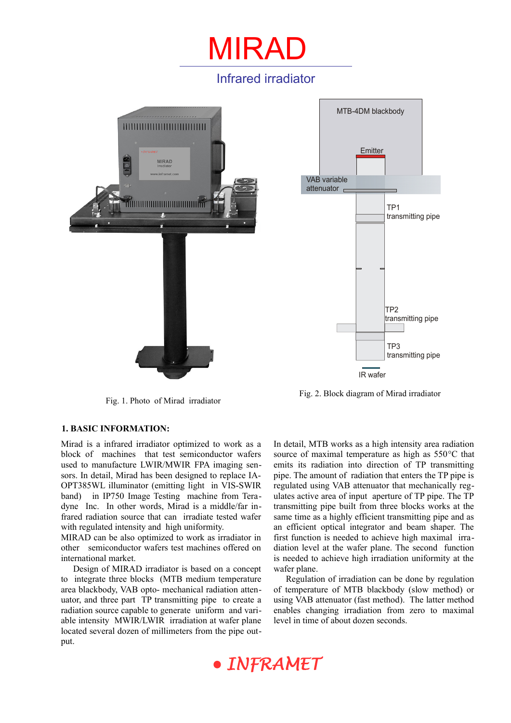## Infrared irradiator

MIRAI



Fig. 1. Photo of Mirad irradiator

#### **1. BASIC INFORMATION:**

Mirad is a infrared irradiator optimized to work as a block of machines that test semiconductor wafers used to manufacture LWIR/MWIR FPA imaging sensors. In detail, Mirad has been designed to replace IA-OPT385WL illuminator (emitting light in VIS-SWIR band) in IP750 Image Testing machine from Teradyne Inc. In other words, Mirad is a middle/far infrared radiation source that can irradiate tested wafer with regulated intensity and high uniformity.

MIRAD can be also optimized to work as irradiator in other semiconductor wafers test machines offered on international market.

Design of MIRAD irradiator is based on a concept to integrate three blocks (MTB medium temperature area blackbody, VAB opto- mechanical radiation attenuator, and three part TP transmitting pipe to create a radiation source capable to generate uniform and variable intensity MWIR/LWIR irradiation at wafer plane located several dozen of millimeters from the pipe output.



Fig. 2. Block diagram of Mirad irradiator

In detail, MTB works as a high intensity area radiation source of maximal temperature as high as 550°C that emits its radiation into direction of TP transmitting pipe. The amount of radiation that enters the TP pipe is regulated using VAB attenuator that mechanically regulates active area of input aperture of TP pipe. The TP transmitting pipe built from three blocks works at the same time as a highly efficient transmitting pipe and as an efficient optical integrator and beam shaper. The first function is needed to achieve high maximal irradiation level at the wafer plane. The second function is needed to achieve high irradiation uniformity at the wafer plane.

Regulation of irradiation can be done by regulation of temperature of MTB blackbody (slow method) or using VAB attenuator (fast method). The latter method enables changing irradiation from zero to maximal level in time of about dozen seconds.